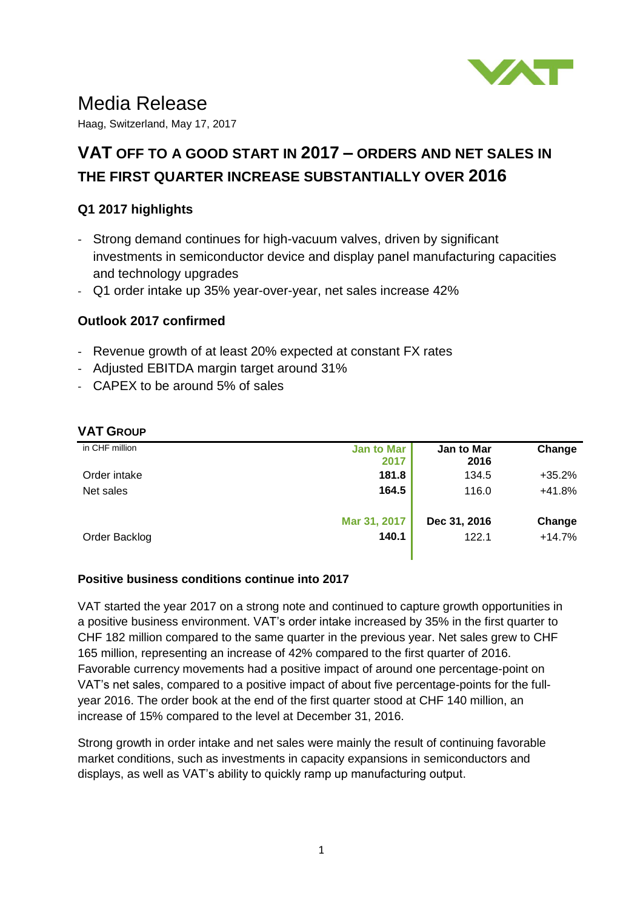

# Media Release

Haag, Switzerland, May 17, 2017

## **VAT OFF TO A GOOD START IN 2017 – ORDERS AND NET SALES IN THE FIRST QUARTER INCREASE SUBSTANTIALLY OVER 2016**

## **Q1 2017 highlights**

- Strong demand continues for high-vacuum valves, driven by significant investments in semiconductor device and display panel manufacturing capacities and technology upgrades
- Q1 order intake up 35% year-over-year, net sales increase 42%

## **Outlook 2017 confirmed**

- Revenue growth of at least 20% expected at constant FX rates
- Adjusted EBITDA margin target around 31%
- CAPEX to be around 5% of sales

#### **VAT GROUP**

| in CHF million | <b>Jan to Mar</b><br>2017 | Jan to Mar<br>2016 | Change   |
|----------------|---------------------------|--------------------|----------|
| Order intake   | 181.8                     | 134.5              | $+35.2%$ |
| Net sales      | 164.5                     | 116.0              | $+41.8%$ |
|                | Mar 31, 2017              | Dec 31, 2016       | Change   |
| Order Backlog  | 140.1                     | 122.1              | $+14.7%$ |

#### **Positive business conditions continue into 2017**

VAT started the year 2017 on a strong note and continued to capture growth opportunities in a positive business environment. VAT's order intake increased by 35% in the first quarter to CHF 182 million compared to the same quarter in the previous year. Net sales grew to CHF 165 million, representing an increase of 42% compared to the first quarter of 2016. Favorable currency movements had a positive impact of around one percentage-point on VAT's net sales, compared to a positive impact of about five percentage-points for the fullyear 2016. The order book at the end of the first quarter stood at CHF 140 million, an increase of 15% compared to the level at December 31, 2016.

Strong growth in order intake and net sales were mainly the result of continuing favorable market conditions, such as investments in capacity expansions in semiconductors and displays, as well as VAT's ability to quickly ramp up manufacturing output.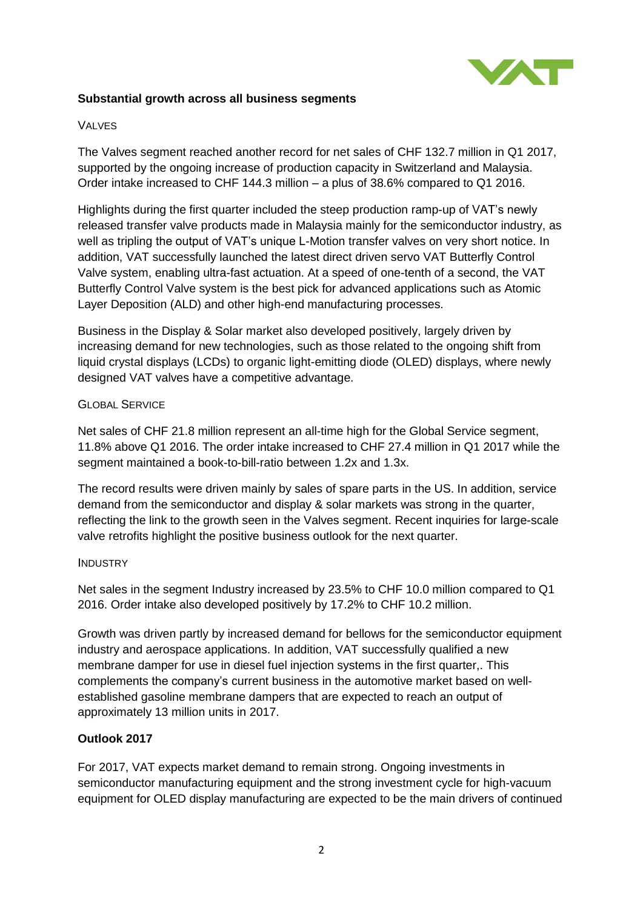

#### **Substantial growth across all business segments**

#### VALVES

The Valves segment reached another record for net sales of CHF 132.7 million in Q1 2017, supported by the ongoing increase of production capacity in Switzerland and Malaysia. Order intake increased to CHF 144.3 million – a plus of 38.6% compared to Q1 2016.

Highlights during the first quarter included the steep production ramp-up of VAT's newly released transfer valve products made in Malaysia mainly for the semiconductor industry, as well as tripling the output of VAT's unique L-Motion transfer valves on very short notice. In addition, VAT successfully launched the latest direct driven servo VAT Butterfly Control Valve system, enabling ultra-fast actuation. At a speed of one-tenth of a second, the VAT Butterfly Control Valve system is the best pick for advanced applications such as Atomic Layer Deposition (ALD) and other high-end manufacturing processes.

Business in the Display & Solar market also developed positively, largely driven by increasing demand for new technologies, such as those related to the ongoing shift from liquid crystal displays (LCDs) to organic light-emitting diode (OLED) displays, where newly designed VAT valves have a competitive advantage.

#### GLOBAL SERVICE

Net sales of CHF 21.8 million represent an all-time high for the Global Service segment, 11.8% above Q1 2016. The order intake increased to CHF 27.4 million in Q1 2017 while the segment maintained a book-to-bill-ratio between 1.2x and 1.3x.

The record results were driven mainly by sales of spare parts in the US. In addition, service demand from the semiconductor and display & solar markets was strong in the quarter, reflecting the link to the growth seen in the Valves segment. Recent inquiries for large-scale valve retrofits highlight the positive business outlook for the next quarter.

#### **INDUSTRY**

Net sales in the segment Industry increased by 23.5% to CHF 10.0 million compared to Q1 2016. Order intake also developed positively by 17.2% to CHF 10.2 million.

Growth was driven partly by increased demand for bellows for the semiconductor equipment industry and aerospace applications. In addition, VAT successfully qualified a new membrane damper for use in diesel fuel injection systems in the first quarter,. This complements the company's current business in the automotive market based on wellestablished gasoline membrane dampers that are expected to reach an output of approximately 13 million units in 2017.

#### **Outlook 2017**

For 2017, VAT expects market demand to remain strong. Ongoing investments in semiconductor manufacturing equipment and the strong investment cycle for high-vacuum equipment for OLED display manufacturing are expected to be the main drivers of continued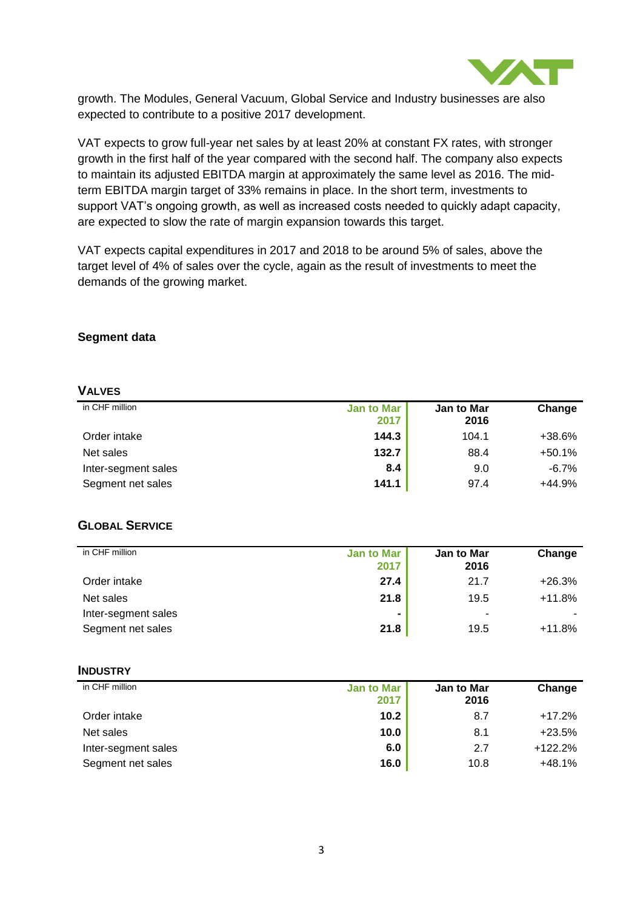

growth. The Modules, General Vacuum, Global Service and Industry businesses are also expected to contribute to a positive 2017 development.

VAT expects to grow full-year net sales by at least 20% at constant FX rates, with stronger growth in the first half of the year compared with the second half. The company also expects to maintain its adjusted EBITDA margin at approximately the same level as 2016. The midterm EBITDA margin target of 33% remains in place. In the short term, investments to support VAT's ongoing growth, as well as increased costs needed to quickly adapt capacity, are expected to slow the rate of margin expansion towards this target.

VAT expects capital expenditures in 2017 and 2018 to be around 5% of sales, above the target level of 4% of sales over the cycle, again as the result of investments to meet the demands of the growing market.

#### **Segment data**

#### **VALVES**

| in CHF million      | <b>Jan to Mar</b><br>2017 | <b>Jan to Mar</b><br>2016 | Change   |
|---------------------|---------------------------|---------------------------|----------|
| Order intake        | 144.3                     | 104.1                     | +38.6%   |
| Net sales           | 132.7                     | 88.4                      | $+50.1%$ |
| Inter-segment sales | 8.4                       | 9.0                       | $-6.7\%$ |
| Segment net sales   | 141.1                     | 97.4                      | $+44.9%$ |

#### **GLOBAL SERVICE**

| in CHF million      | <b>Jan to Mar</b><br>2017 | <b>Jan to Mar</b><br>2016 | Change   |
|---------------------|---------------------------|---------------------------|----------|
| Order intake        | 27.4                      | 21.7                      | $+26.3%$ |
| Net sales           | 21.8                      | 19.5                      | $+11.8%$ |
| Inter-segment sales |                           | ٠                         |          |
| Segment net sales   | 21.8                      | 19.5                      | $+11.8%$ |

#### **INDUSTRY**

| in CHF million      | <b>Jan to Mar</b><br>2017 | Jan to Mar<br>2016 | Change    |
|---------------------|---------------------------|--------------------|-----------|
| Order intake        | 10.2                      | 8.7                | $+17.2%$  |
| Net sales           | 10.0                      | 8.1                | $+23.5%$  |
| Inter-segment sales | 6.0                       | 2.7                | $+122.2%$ |
| Segment net sales   | 16.0                      | 10.8               | $+48.1%$  |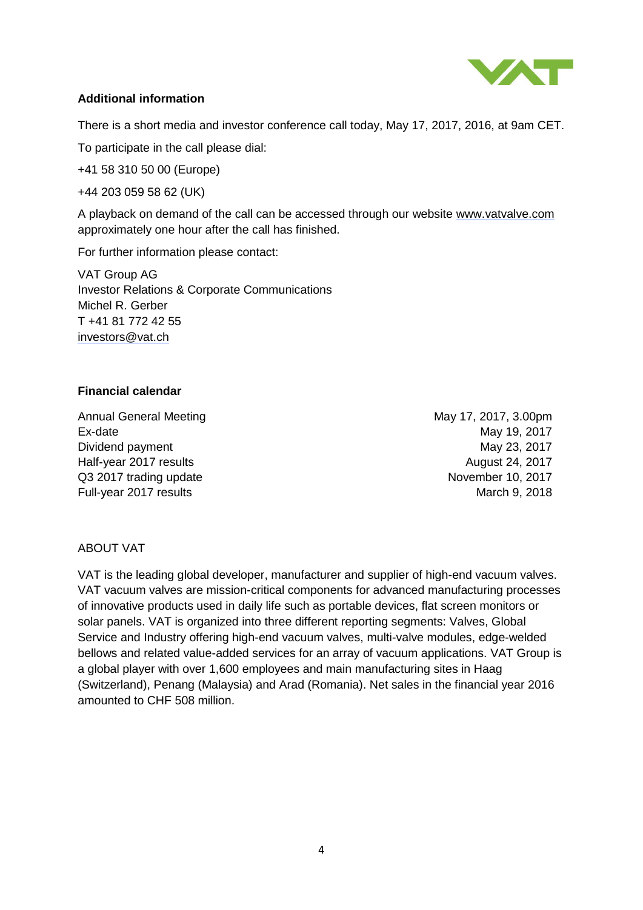

## **Additional information**

There is a short media and investor conference call today, May 17, 2017, 2016, at 9am CET.

To participate in the call please dial:

+41 58 310 50 00 (Europe)

+44 203 059 58 62 (UK)

A playback on demand of the call can be accessed through our website [www.vatvalve.com](http://www.vatvalve.com/) approximately one hour after the call has finished.

For further information please contact:

VAT Group AG Investor Relations & Corporate Communications Michel R. Gerber T +41 81 772 42 55 [investors@vat.ch](mailto:investors@vat.ch)

#### **Financial calendar**

Annual General Meeting May 17, 2017, 3.00pm Ex-date May 19, 2017 Dividend payment **May 23, 2017** Half-year 2017 results August 24, 2017 Q3 2017 trading update November 10, 2017 Full-year 2017 results March 9, 2018

## ABOUT VAT

VAT is the leading global developer, manufacturer and supplier of high-end vacuum valves. VAT vacuum valves are mission-critical components for advanced manufacturing processes of innovative products used in daily life such as portable devices, flat screen monitors or solar panels. VAT is organized into three different reporting segments: Valves, Global Service and Industry offering high-end vacuum valves, multi-valve modules, edge-welded bellows and related value-added services for an array of vacuum applications. VAT Group is a global player with over 1,600 employees and main manufacturing sites in Haag (Switzerland), Penang (Malaysia) and Arad (Romania). Net sales in the financial year 2016 amounted to CHF 508 million.